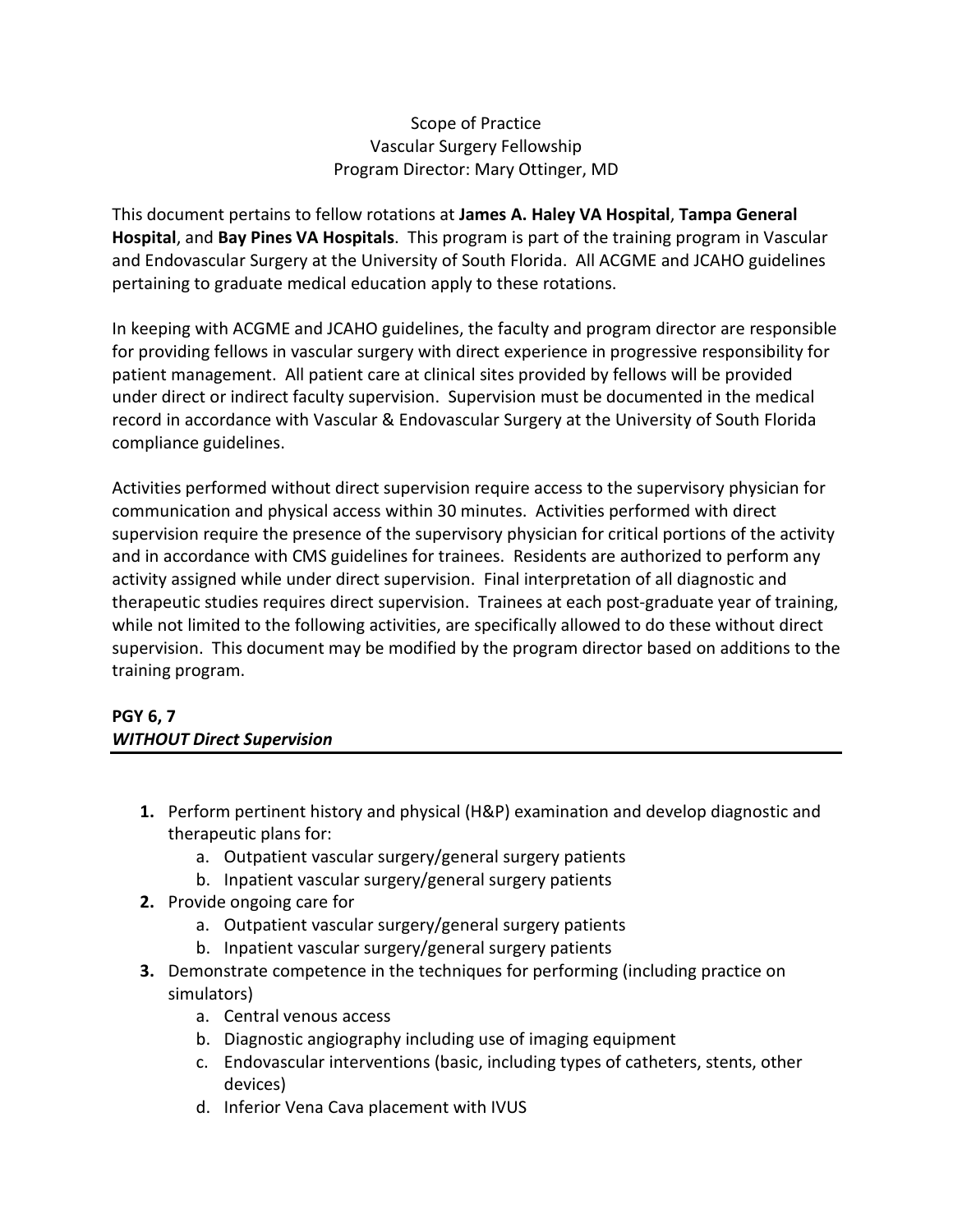## Scope of Practice Vascular Surgery Fellowship Program Director: Mary Ottinger, MD

This document pertains to fellow rotations at **James A. Haley VA Hospital**, **Tampa General Hospital**, and **Bay Pines VA Hospitals**. This program is part of the training program in Vascular and Endovascular Surgery at the University of South Florida. All ACGME and JCAHO guidelines pertaining to graduate medical education apply to these rotations.

In keeping with ACGME and JCAHO guidelines, the faculty and program director are responsible for providing fellows in vascular surgery with direct experience in progressive responsibility for patient management. All patient care at clinical sites provided by fellows will be provided under direct or indirect faculty supervision. Supervision must be documented in the medical record in accordance with Vascular & Endovascular Surgery at the University of South Florida compliance guidelines.

Activities performed without direct supervision require access to the supervisory physician for communication and physical access within 30 minutes. Activities performed with direct supervision require the presence of the supervisory physician for critical portions of the activity and in accordance with CMS guidelines for trainees. Residents are authorized to perform any activity assigned while under direct supervision. Final interpretation of all diagnostic and therapeutic studies requires direct supervision. Trainees at each post-graduate year of training, while not limited to the following activities, are specifically allowed to do these without direct supervision. This document may be modified by the program director based on additions to the training program.

## **PGY 6, 7** *WITHOUT Direct Supervision*

- **1.** Perform pertinent history and physical (H&P) examination and develop diagnostic and therapeutic plans for:
	- a. Outpatient vascular surgery/general surgery patients
	- b. Inpatient vascular surgery/general surgery patients
- **2.** Provide ongoing care for
	- a. Outpatient vascular surgery/general surgery patients
	- b. Inpatient vascular surgery/general surgery patients
- **3.** Demonstrate competence in the techniques for performing (including practice on simulators)
	- a. Central venous access
	- b. Diagnostic angiography including use of imaging equipment
	- c. Endovascular interventions (basic, including types of catheters, stents, other devices)
	- d. Inferior Vena Cava placement with IVUS